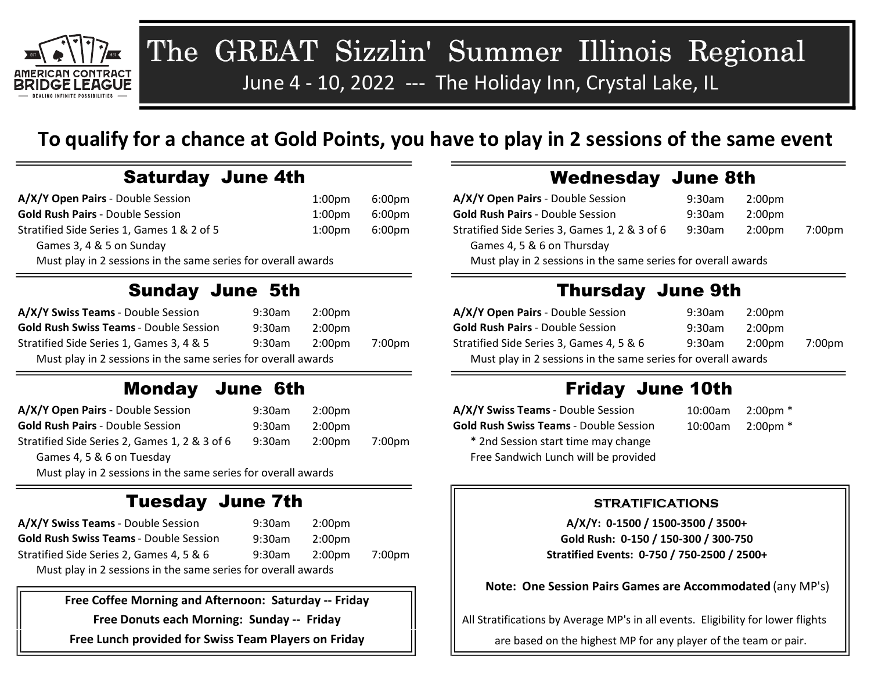

# The GREAT Sizzlin' Summer Illinois Regional June 4 - 10, 2022 --- The Holiday Inn, Crystal Lake, IL

### To qualify for a chance at Gold Points, you have to play in 2 sessions of the same event

| A/X/Y Open Pairs - Double Session                             | 1:00pm | 6:00pm | A/X/Y Open Pairs - Double Session                             | 9:30am    | 2:00 <sub>pm</sub> |        |
|---------------------------------------------------------------|--------|--------|---------------------------------------------------------------|-----------|--------------------|--------|
| <b>Gold Rush Pairs - Double Session</b>                       | 1:00pm | 6:00pm | <b>Gold Rush Pairs - Double Session</b>                       | $9:30$ am | $2:00$ pm          |        |
| Stratified Side Series 1, Games 1 & 2 of 5                    | 1:00pm | 6:00pm | Stratified Side Series 3, Games 1, 2 & 3 of 6                 | 9:30am    | 2:00 <sub>pm</sub> | 7:00pm |
| Games 3, 4 & 5 on Sunday                                      |        |        | Games 4, 5 & 6 on Thursday                                    |           |                    |        |
| Must play in 2 sessions in the same series for overall awards |        |        | Must play in 2 sessions in the same series for overall awards |           |                    |        |

#### Sunday June 5th

| A/X/Y Swiss Teams - Double Session                            | 9:30am | 2:00 <sub>pm</sub> |                                                               | A/X/Y Open Pairs - Double Session        | 9:30am | 2:00pm |                    |
|---------------------------------------------------------------|--------|--------------------|---------------------------------------------------------------|------------------------------------------|--------|--------|--------------------|
| <b>Gold Rush Swiss Teams - Double Session</b>                 | 9:30am | 2:00 <sub>pm</sub> |                                                               | <b>Gold Rush Pairs - Double Session</b>  | 9:30am | 2:00pm |                    |
| Stratified Side Series 1, Games 3, 4 & 5                      | 9:30am | 2:00 <sub>pm</sub> | 7:00 <sub>pm</sub>                                            | Stratified Side Series 3, Games 4, 5 & 6 | 9:30am | 2:00pm | 7:00 <sub>pm</sub> |
| Must play in 2 sessions in the same series for overall awards |        |                    | Must play in 2 sessions in the same series for overall awards |                                          |        |        |                    |

#### Monday June 6th

| A/X/Y Open Pairs - Double Session                             | $9:30$ am | 2:00 <sub>pm</sub> |                    | A/X/Y Swiss Teams - Double Session            | 10:00am | $2:00 \text{pm}$ * |
|---------------------------------------------------------------|-----------|--------------------|--------------------|-----------------------------------------------|---------|--------------------|
| <b>Gold Rush Pairs - Double Session</b>                       | $9:30$ am | 2:00 <sub>pm</sub> |                    | <b>Gold Rush Swiss Teams - Double Session</b> | 10:00am | $2:00 \text{pm}$ * |
| Stratified Side Series 2, Games 1, 2 & 3 of 6                 | $9:30$ am | 2:00 <sub>pm</sub> | 7:00 <sub>pm</sub> | * 2nd Session start time may change           |         |                    |
| Games 4, 5 & 6 on Tuesday                                     |           |                    |                    | Free Sandwich Lunch will be provided          |         |                    |
| Must play in 2 sessions in the same series for overall awards |           |                    |                    |                                               |         |                    |

#### Tuesday June 7th

| A/X/Y Swiss Teams - Double Session                            | 9:30am | 2:00pm |        |
|---------------------------------------------------------------|--------|--------|--------|
| <b>Gold Rush Swiss Teams - Double Session</b>                 | 9:30am | 2:00pm |        |
| Stratified Side Series 2, Games 4, 5 & 6                      | 9:30am | 2:00pm | 7:00pm |
| Must play in 2 sessions in the same series for overall awards |        |        |        |

Free Coffee Morning and Afternoon: Saturday -- Friday

Free Donuts each Morning: Sunday -- Friday

Free Lunch provided for Swiss Team Players on Friday

#### Saturday June 4th Wednesday June 8th

| A/X/Y Open Pairs - Double Session                             | $9:30$ am | 2:00 <sub>pm</sub> |        |  |
|---------------------------------------------------------------|-----------|--------------------|--------|--|
| <b>Gold Rush Pairs - Double Session</b>                       | 9:30am    | 2:00 <sub>pm</sub> |        |  |
| Stratified Side Series 3, Games 1, 2 & 3 of 6                 | 9:30am    | 2:00 <sub>pm</sub> | 7:00pm |  |
| Games 4, 5 & 6 on Thursday                                    |           |                    |        |  |
| Must play in 2 sessions in the same series for overall awards |           |                    |        |  |

#### Thursday June 9th

| A/X/Y Open Pairs - Double Session                             | 9:30am    | 2:00pm |        |  |
|---------------------------------------------------------------|-----------|--------|--------|--|
| <b>Gold Rush Pairs - Double Session</b>                       | $9:30$ am | 2:00pm |        |  |
| Stratified Side Series 3, Games 4, 5 & 6                      | $9:30$ am | 2:00pm | 7:00pm |  |
| Must play in 2 sessions in the same series for overall awards |           |        |        |  |

#### Friday June 10th

| A/X/Y Swiss Teams - Double Session            | 10:00am | $2:00 \text{pm}$ |
|-----------------------------------------------|---------|------------------|
| <b>Gold Rush Swiss Teams - Double Session</b> | 10:00am | $2:00 \text{pm}$ |
| * 2nd Session start time may change           |         |                  |
| Free Sandwich Lunch will be provided          |         |                  |

#### STRATIFICATIONS

A/X/Y: 0-1500 / 1500-3500 / 3500+ Gold Rush: 0-150 / 150-300 / 300-750 Stratified Events: 0-750 / 750-2500 / 2500+

Note: One Session Pairs Games are Accommodated (any MP's)

All Stratifications by Average MP's in all events. Eligibility for lower flights

are based on the highest MP for any player of the team or pair.